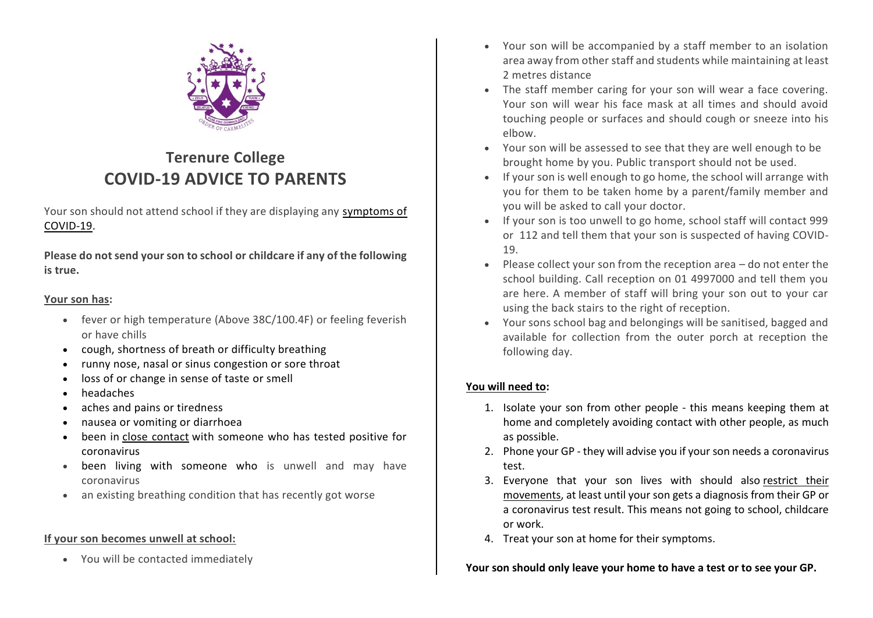

# **Terenure College COVID-19 ADVICE TO PARENTS**

Your son should not attend school if they are displaying any symptoms of COVID-19.

**Please do not send your son to school or childcare if any of the following is true.**

### **Your son has:**

- fever or high temperature (Above 38C/100.4F) or feeling feverish or have chills
- cough, shortness of breath or difficulty breathing
- runny nose, nasal or sinus congestion or sore throat
- loss of or change in sense of taste or smell
- headaches
- aches and pains or tiredness
- nausea or vomiting or diarrhoea
- been in close contact with someone who has tested positive for coronavirus
- been living with someone who is unwell and may have coronavirus
- an existing breathing condition that has recently got worse

## **If your son becomes unwell at school:**

• You will be contacted immediately

- Your son will be accompanied by a staff member to an isolation area away from other staff and students while maintaining at least 2 metres distance
- The staff member caring for your son will wear a face covering. Your son will wear his face mask at all times and should avoid touching people or surfaces and should cough or sneeze into his elbow.
- Your son will be assessed to see that they are well enough to be brought home by you. Public transport should not be used.
- If your son is well enough to go home, the school will arrange with you for them to be taken home by a parent/family member and you will be asked to call your doctor.
- If your son is too unwell to go home, school staff will contact 999 or 112 and tell them that your son is suspected of having COVID-19.
- Please collect your son from the reception area  $-$  do not enter the school building. Call reception on 01 4997000 and tell them you are here. A member of staff will bring your son out to your car using the back stairs to the right of reception.
- Your sons school bag and belongings will be sanitised, bagged and available for collection from the outer porch at reception the following day.

# **You will need to:**

- 1. Isolate your son from other people this means keeping them at home and completely avoiding contact with other people, as much as possible.
- 2. Phone your GP they will advise you if your son needs a coronavirus test.
- 3. Everyone that your son lives with should also restrict their movements, at least until your son gets a diagnosis from their GP or a coronavirus test result. This means not going to school, childcare or work.
- 4. Treat your son at home for their symptoms.

## **Your son should only leave your home to have a test or to see your GP.**